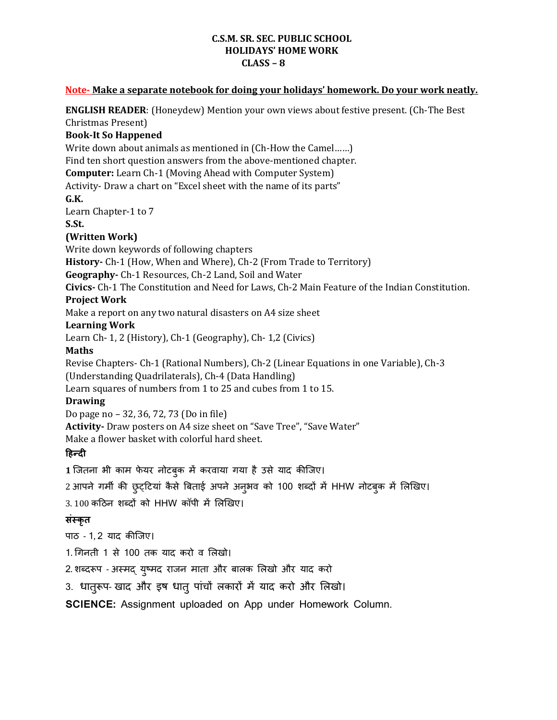## **C.S.M. SR. SEC. PUBLIC SCHOOL HOLIDAYS' HOME WORK CLASS – 8**

## **Note- Make a separate notebook for doing your holidays' homework. Do your work neatly.**

**ENGLISH READER**: (Honeydew) Mention your own views about festive present. (Ch-The Best Christmas Present) **Book-It So Happened**  Write down about animals as mentioned in (Ch-How the Camel……) Find ten short question answers from the above-mentioned chapter. **Computer:** Learn Ch-1 (Moving Ahead with Computer System) Activity- Draw a chart on "Excel sheet with the name of its parts" **G.K.**  Learn Chapter-1 to 7 **S.St. (Written Work)** Write down keywords of following chapters **History-** Ch-1 (How, When and Where), Ch-2 (From Trade to Territory) **Geography-** Ch-1 Resources, Ch-2 Land, Soil and Water **Civics-** Ch-1 The Constitution and Need for Laws, Ch-2 Main Feature of the Indian Constitution. **Project Work** Make a report on any two natural disasters on A4 size sheet **Learning Work** Learn Ch- 1, 2 (History), Ch-1 (Geography), Ch- 1,2 (Civics) **Maths** Revise Chapters- Ch-1 (Rational Numbers), Ch-2 (Linear Equations in one Variable), Ch-3 (Understanding Quadrilaterals), Ch-4 (Data Handling) Learn squares of numbers from 1 to 25 and cubes from 1 to 15. **Drawing** Do page no – 32, 36, 72, 73 (Do in file) **Activity-** Draw posters on A4 size sheet on "Save Tree", "Save Water" Make a flower basket with colorful hard sheet. **हिन्दी 1** जितना भी काम फेयर नोटबुक में करवाया गया है उसे याद कीजिए। 2 आपने गर्मी की छुट्टियां कैसे बिताई अपने अनुभव को 100 शब्दों में HHW नोटबुक में लिखिए। 3. 100 कटिन शब्दों को HHW कॉपी में लिखिए।

## **संस्कृत**

पाठ - 1, 2 याद कीजिए।

1. गगनती 1 से 100 तक याद करो व लििो।

2. शब्दरूप - अस्मद् युष्मद राजन माता और बालक लिखो और याद करो

3. धातुरूप- खाद और इष धातु पांचों लकारों में याद करो और लिखो।

**SCIENCE:** Assignment uploaded on App under Homework Column.